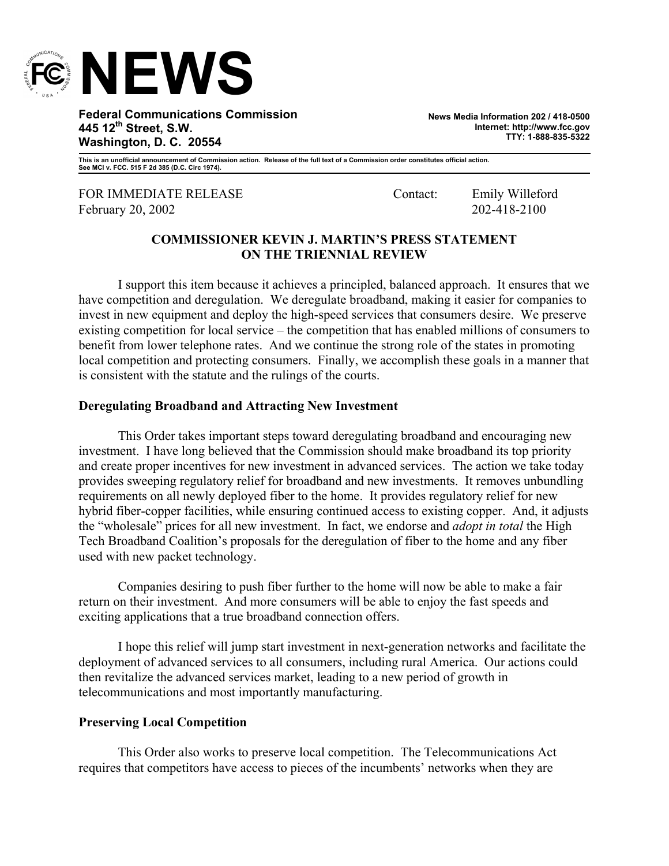

**Federal Communications Commission 445 12th Street, S.W. Washington, D. C. 20554** 

**News Media Information 202 / 418-0500 Internet: http://www.fcc.gov TTY: 1-888-835-5322**

**This is an unofficial announcement of Commission action. Release of the full text of a Commission order constitutes official action. See MCI v. FCC. 515 F 2d 385 (D.C. Circ 1974).** 

FOR IMMEDIATE RELEASE Contact: Emily Willeford February 20, 2002 202-418-2100

# **COMMISSIONER KEVIN J. MARTIN'S PRESS STATEMENT ON THE TRIENNIAL REVIEW**

 I support this item because it achieves a principled, balanced approach. It ensures that we have competition and deregulation. We deregulate broadband, making it easier for companies to invest in new equipment and deploy the high-speed services that consumers desire. We preserve existing competition for local service – the competition that has enabled millions of consumers to benefit from lower telephone rates. And we continue the strong role of the states in promoting local competition and protecting consumers. Finally, we accomplish these goals in a manner that is consistent with the statute and the rulings of the courts.

## **Deregulating Broadband and Attracting New Investment**

 This Order takes important steps toward deregulating broadband and encouraging new investment. I have long believed that the Commission should make broadband its top priority and create proper incentives for new investment in advanced services. The action we take today provides sweeping regulatory relief for broadband and new investments. It removes unbundling requirements on all newly deployed fiber to the home. It provides regulatory relief for new hybrid fiber-copper facilities, while ensuring continued access to existing copper. And, it adjusts the "wholesale" prices for all new investment. In fact, we endorse and *adopt in total* the High Tech Broadband Coalition's proposals for the deregulation of fiber to the home and any fiber used with new packet technology.

Companies desiring to push fiber further to the home will now be able to make a fair return on their investment. And more consumers will be able to enjoy the fast speeds and exciting applications that a true broadband connection offers.

I hope this relief will jump start investment in next-generation networks and facilitate the deployment of advanced services to all consumers, including rural America. Our actions could then revitalize the advanced services market, leading to a new period of growth in telecommunications and most importantly manufacturing.

## **Preserving Local Competition**

 This Order also works to preserve local competition. The Telecommunications Act requires that competitors have access to pieces of the incumbents' networks when they are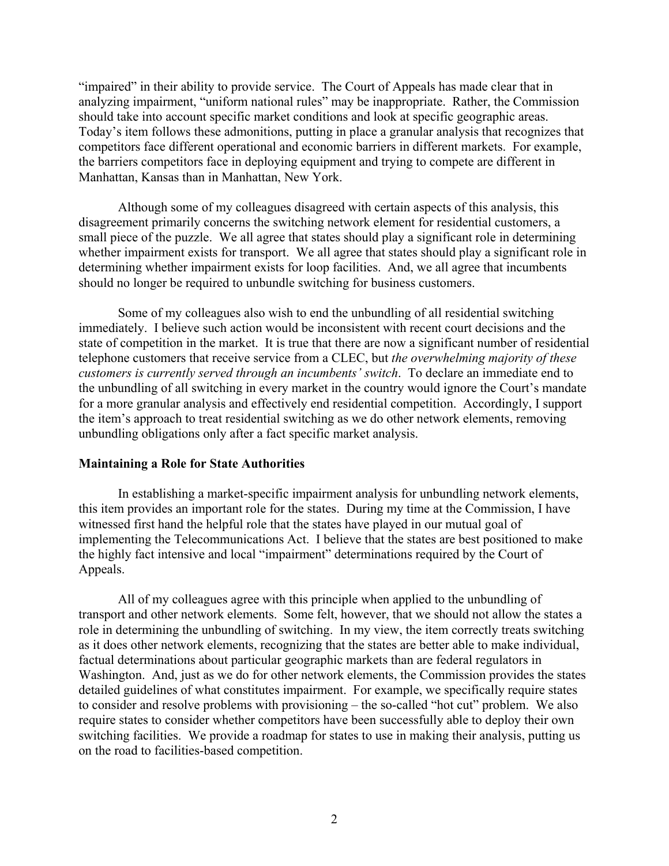"impaired" in their ability to provide service. The Court of Appeals has made clear that in analyzing impairment, "uniform national rules" may be inappropriate. Rather, the Commission should take into account specific market conditions and look at specific geographic areas. Today's item follows these admonitions, putting in place a granular analysis that recognizes that competitors face different operational and economic barriers in different markets. For example, the barriers competitors face in deploying equipment and trying to compete are different in Manhattan, Kansas than in Manhattan, New York.

 Although some of my colleagues disagreed with certain aspects of this analysis, this disagreement primarily concerns the switching network element for residential customers, a small piece of the puzzle. We all agree that states should play a significant role in determining whether impairment exists for transport. We all agree that states should play a significant role in determining whether impairment exists for loop facilities. And, we all agree that incumbents should no longer be required to unbundle switching for business customers.

Some of my colleagues also wish to end the unbundling of all residential switching immediately. I believe such action would be inconsistent with recent court decisions and the state of competition in the market. It is true that there are now a significant number of residential telephone customers that receive service from a CLEC, but *the overwhelming majority of these customers is currently served through an incumbents' switch*. To declare an immediate end to the unbundling of all switching in every market in the country would ignore the Court's mandate for a more granular analysis and effectively end residential competition. Accordingly, I support the item's approach to treat residential switching as we do other network elements, removing unbundling obligations only after a fact specific market analysis.

#### **Maintaining a Role for State Authorities**

 In establishing a market-specific impairment analysis for unbundling network elements, this item provides an important role for the states. During my time at the Commission, I have witnessed first hand the helpful role that the states have played in our mutual goal of implementing the Telecommunications Act. I believe that the states are best positioned to make the highly fact intensive and local "impairment" determinations required by the Court of Appeals.

 All of my colleagues agree with this principle when applied to the unbundling of transport and other network elements. Some felt, however, that we should not allow the states a role in determining the unbundling of switching. In my view, the item correctly treats switching as it does other network elements, recognizing that the states are better able to make individual, factual determinations about particular geographic markets than are federal regulators in Washington. And, just as we do for other network elements, the Commission provides the states detailed guidelines of what constitutes impairment. For example, we specifically require states to consider and resolve problems with provisioning – the so-called "hot cut" problem. We also require states to consider whether competitors have been successfully able to deploy their own switching facilities. We provide a roadmap for states to use in making their analysis, putting us on the road to facilities-based competition.